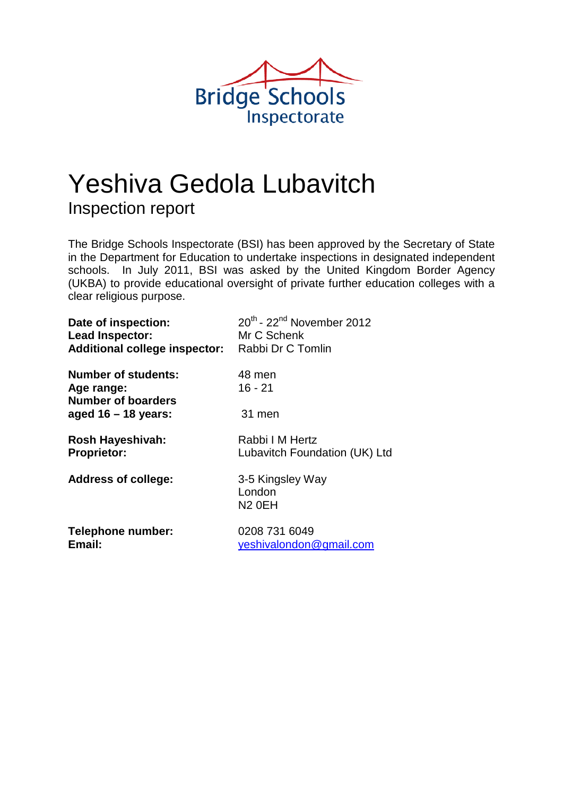

# Yeshiva Gedola Lubavitch Inspection report

The Bridge Schools Inspectorate (BSI) has been approved by the Secretary of State in the Department for Education to undertake inspections in designated independent schools. In July 2011, BSI was asked by the United Kingdom Border Agency (UKBA) to provide educational oversight of private further education colleges with a clear religious purpose.

| Date of inspection:                                                   | $20^{th}$ - $22^{nd}$ November 2012              |
|-----------------------------------------------------------------------|--------------------------------------------------|
| Lead Inspector:                                                       | Mr C Schenk                                      |
| <b>Additional college inspector:</b>                                  | Rabbi Dr C Tomlin                                |
| <b>Number of students:</b><br>Age range:<br><b>Number of boarders</b> | 48 men<br>16 - 21                                |
| aged $16 - 18$ years:                                                 | 31 men                                           |
| Rosh Hayeshivah:                                                      | Rabbi I M Hertz                                  |
| <b>Proprietor:</b>                                                    | Lubavitch Foundation (UK) Ltd                    |
| <b>Address of college:</b>                                            | 3-5 Kingsley Way<br>London<br>N <sub>2</sub> OEH |
| Telephone number:                                                     | 0208 731 6049                                    |
| Email:                                                                | yeshivalondon@gmail.com                          |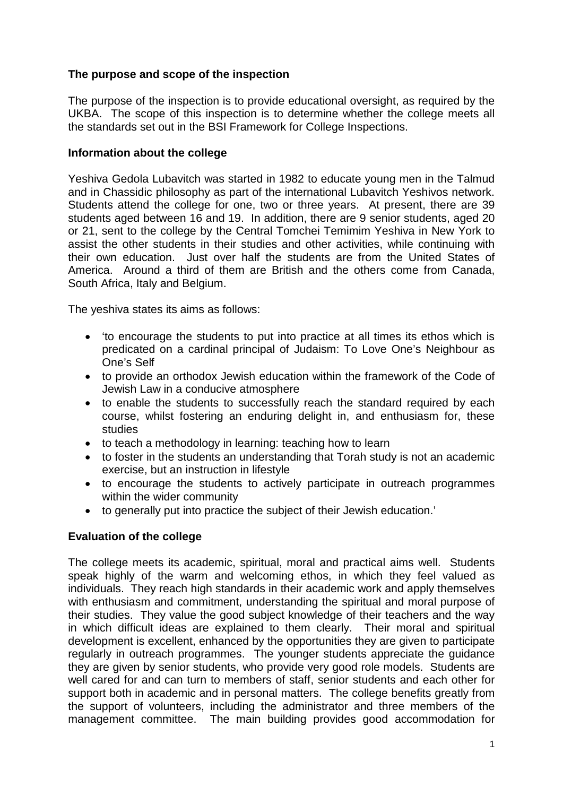## **The purpose and scope of the inspection**

The purpose of the inspection is to provide educational oversight, as required by the UKBA. The scope of this inspection is to determine whether the college meets all the standards set out in the BSI Framework for College Inspections.

#### **Information about the college**

Yeshiva Gedola Lubavitch was started in 1982 to educate young men in the Talmud and in Chassidic philosophy as part of the international Lubavitch Yeshivos network. Students attend the college for one, two or three years. At present, there are 39 students aged between 16 and 19. In addition, there are 9 senior students, aged 20 or 21, sent to the college by the Central Tomchei Temimim Yeshiva in New York to assist the other students in their studies and other activities, while continuing with their own education. Just over half the students are from the United States of America. Around a third of them are British and the others come from Canada, South Africa, Italy and Belgium.

The yeshiva states its aims as follows:

- 'to encourage the students to put into practice at all times its ethos which is predicated on a cardinal principal of Judaism: To Love One's Neighbour as One's Self
- to provide an orthodox Jewish education within the framework of the Code of Jewish Law in a conducive atmosphere
- to enable the students to successfully reach the standard required by each course, whilst fostering an enduring delight in, and enthusiasm for, these studies
- to teach a methodology in learning: teaching how to learn
- to foster in the students an understanding that Torah study is not an academic exercise, but an instruction in lifestyle
- to encourage the students to actively participate in outreach programmes within the wider community
- to generally put into practice the subject of their Jewish education.'

#### **Evaluation of the college**

The college meets its academic, spiritual, moral and practical aims well. Students speak highly of the warm and welcoming ethos, in which they feel valued as individuals. They reach high standards in their academic work and apply themselves with enthusiasm and commitment, understanding the spiritual and moral purpose of their studies. They value the good subject knowledge of their teachers and the way in which difficult ideas are explained to them clearly. Their moral and spiritual development is excellent, enhanced by the opportunities they are given to participate regularly in outreach programmes. The younger students appreciate the guidance they are given by senior students, who provide very good role models. Students are well cared for and can turn to members of staff, senior students and each other for support both in academic and in personal matters. The college benefits greatly from the support of volunteers, including the administrator and three members of the management committee. The main building provides good accommodation for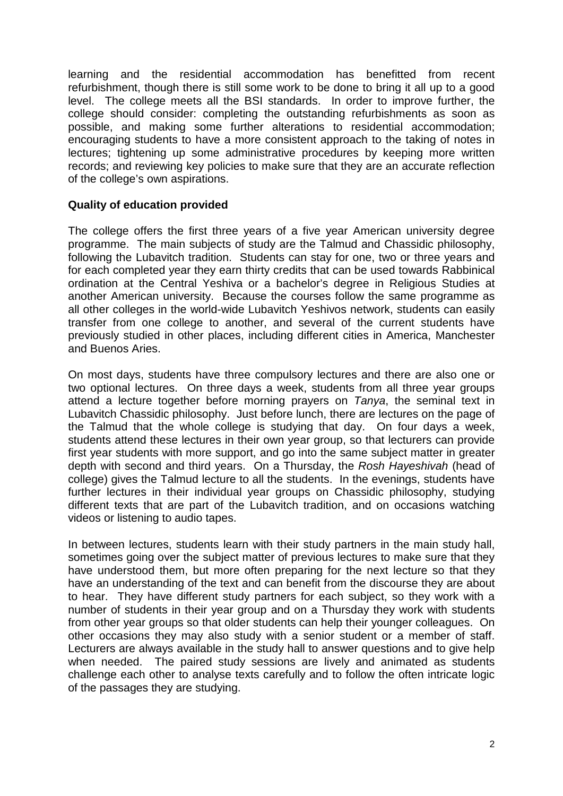learning and the residential accommodation has benefitted from recent refurbishment, though there is still some work to be done to bring it all up to a good level. The college meets all the BSI standards. In order to improve further, the college should consider: completing the outstanding refurbishments as soon as possible, and making some further alterations to residential accommodation; encouraging students to have a more consistent approach to the taking of notes in lectures; tightening up some administrative procedures by keeping more written records; and reviewing key policies to make sure that they are an accurate reflection of the college's own aspirations.

#### **Quality of education provided**

The college offers the first three years of a five year American university degree programme. The main subjects of study are the Talmud and Chassidic philosophy, following the Lubavitch tradition. Students can stay for one, two or three years and for each completed year they earn thirty credits that can be used towards Rabbinical ordination at the Central Yeshiva or a bachelor's degree in Religious Studies at another American university. Because the courses follow the same programme as all other colleges in the world-wide Lubavitch Yeshivos network, students can easily transfer from one college to another, and several of the current students have previously studied in other places, including different cities in America, Manchester and Buenos Aries.

On most days, students have three compulsory lectures and there are also one or two optional lectures. On three days a week, students from all three year groups attend a lecture together before morning prayers on *Tanya*, the seminal text in Lubavitch Chassidic philosophy. Just before lunch, there are lectures on the page of the Talmud that the whole college is studying that day. On four days a week, students attend these lectures in their own year group, so that lecturers can provide first year students with more support, and go into the same subject matter in greater depth with second and third years. On a Thursday, the *Rosh Hayeshivah* (head of college) gives the Talmud lecture to all the students. In the evenings, students have further lectures in their individual year groups on Chassidic philosophy, studying different texts that are part of the Lubavitch tradition, and on occasions watching videos or listening to audio tapes.

In between lectures, students learn with their study partners in the main study hall, sometimes going over the subject matter of previous lectures to make sure that they have understood them, but more often preparing for the next lecture so that they have an understanding of the text and can benefit from the discourse they are about to hear. They have different study partners for each subject, so they work with a number of students in their year group and on a Thursday they work with students from other year groups so that older students can help their younger colleagues. On other occasions they may also study with a senior student or a member of staff. Lecturers are always available in the study hall to answer questions and to give help when needed. The paired study sessions are lively and animated as students challenge each other to analyse texts carefully and to follow the often intricate logic of the passages they are studying.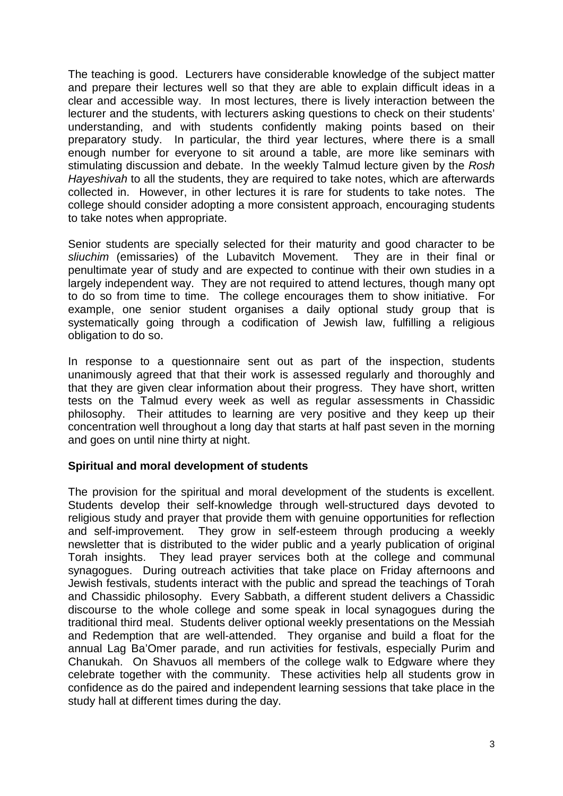The teaching is good. Lecturers have considerable knowledge of the subject matter and prepare their lectures well so that they are able to explain difficult ideas in a clear and accessible way. In most lectures, there is lively interaction between the lecturer and the students, with lecturers asking questions to check on their students' understanding, and with students confidently making points based on their preparatory study. In particular, the third year lectures, where there is a small enough number for everyone to sit around a table, are more like seminars with stimulating discussion and debate. In the weekly Talmud lecture given by the *Rosh Hayeshivah* to all the students, they are required to take notes, which are afterwards collected in. However, in other lectures it is rare for students to take notes. The college should consider adopting a more consistent approach, encouraging students to take notes when appropriate.

Senior students are specially selected for their maturity and good character to be *sliuchim* (emissaries) of the Lubavitch Movement. They are in their final or penultimate year of study and are expected to continue with their own studies in a largely independent way. They are not required to attend lectures, though many opt to do so from time to time. The college encourages them to show initiative. For example, one senior student organises a daily optional study group that is systematically going through a codification of Jewish law, fulfilling a religious obligation to do so.

In response to a questionnaire sent out as part of the inspection, students unanimously agreed that that their work is assessed regularly and thoroughly and that they are given clear information about their progress. They have short, written tests on the Talmud every week as well as regular assessments in Chassidic philosophy. Their attitudes to learning are very positive and they keep up their concentration well throughout a long day that starts at half past seven in the morning and goes on until nine thirty at night.

#### **Spiritual and moral development of students**

The provision for the spiritual and moral development of the students is excellent. Students develop their self-knowledge through well-structured days devoted to religious study and prayer that provide them with genuine opportunities for reflection and self-improvement. They grow in self-esteem through producing a weekly newsletter that is distributed to the wider public and a yearly publication of original Torah insights. They lead prayer services both at the college and communal synagogues. During outreach activities that take place on Friday afternoons and Jewish festivals, students interact with the public and spread the teachings of Torah and Chassidic philosophy. Every Sabbath, a different student delivers a Chassidic discourse to the whole college and some speak in local synagogues during the traditional third meal. Students deliver optional weekly presentations on the Messiah and Redemption that are well-attended. They organise and build a float for the annual Lag Ba'Omer parade, and run activities for festivals, especially Purim and Chanukah. On Shavuos all members of the college walk to Edgware where they celebrate together with the community. These activities help all students grow in confidence as do the paired and independent learning sessions that take place in the study hall at different times during the day.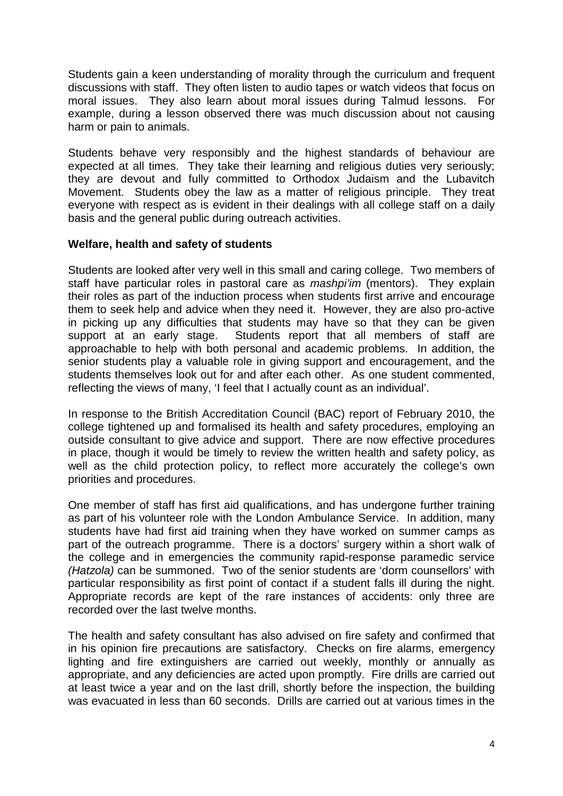Students gain a keen understanding of morality through the curriculum and frequent discussions with staff. They often listen to audio tapes or watch videos that focus on moral issues. They also learn about moral issues during Talmud lessons. For example, during a lesson observed there was much discussion about not causing harm or pain to animals.

Students behave very responsibly and the highest standards of behaviour are expected at all times. They take their learning and religious duties very seriously; they are devout and fully committed to Orthodox Judaism and the Lubavitch Movement. Students obey the law as a matter of religious principle. They treat everyone with respect as is evident in their dealings with all college staff on a daily basis and the general public during outreach activities.

#### **Welfare, health and safety of students**

Students are looked after very well in this small and caring college. Two members of staff have particular roles in pastoral care as *mashpi'im* (mentors). They explain their roles as part of the induction process when students first arrive and encourage them to seek help and advice when they need it. However, they are also pro-active in picking up any difficulties that students may have so that they can be given support at an early stage. Students report that all members of staff are approachable to help with both personal and academic problems. In addition, the senior students play a valuable role in giving support and encouragement, and the students themselves look out for and after each other. As one student commented, reflecting the views of many, 'I feel that I actually count as an individual'.

In response to the British Accreditation Council (BAC) report of February 2010, the college tightened up and formalised its health and safety procedures, employing an outside consultant to give advice and support. There are now effective procedures in place, though it would be timely to review the written health and safety policy, as well as the child protection policy, to reflect more accurately the college's own priorities and procedures.

One member of staff has first aid qualifications, and has undergone further training as part of his volunteer role with the London Ambulance Service. In addition, many students have had first aid training when they have worked on summer camps as part of the outreach programme. There is a doctors' surgery within a short walk of the college and in emergencies the community rapid-response paramedic service *(Hatzola)* can be summoned. Two of the senior students are 'dorm counsellors' with particular responsibility as first point of contact if a student falls ill during the night. Appropriate records are kept of the rare instances of accidents: only three are recorded over the last twelve months.

The health and safety consultant has also advised on fire safety and confirmed that in his opinion fire precautions are satisfactory. Checks on fire alarms, emergency lighting and fire extinguishers are carried out weekly, monthly or annually as appropriate, and any deficiencies are acted upon promptly. Fire drills are carried out at least twice a year and on the last drill, shortly before the inspection, the building was evacuated in less than 60 seconds. Drills are carried out at various times in the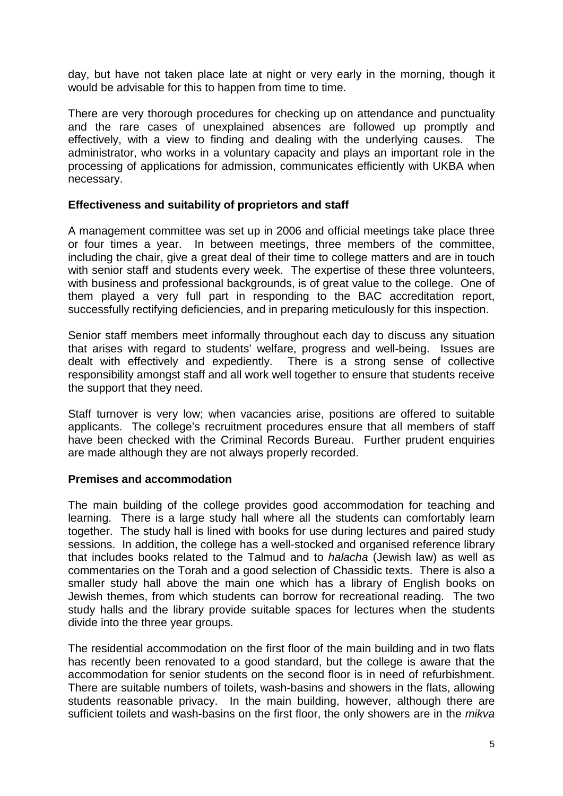day, but have not taken place late at night or very early in the morning, though it would be advisable for this to happen from time to time.

There are very thorough procedures for checking up on attendance and punctuality and the rare cases of unexplained absences are followed up promptly and effectively, with a view to finding and dealing with the underlying causes. The administrator, who works in a voluntary capacity and plays an important role in the processing of applications for admission, communicates efficiently with UKBA when necessary.

### **Effectiveness and suitability of proprietors and staff**

A management committee was set up in 2006 and official meetings take place three or four times a year. In between meetings, three members of the committee, including the chair, give a great deal of their time to college matters and are in touch with senior staff and students every week. The expertise of these three volunteers, with business and professional backgrounds, is of great value to the college. One of them played a very full part in responding to the BAC accreditation report, successfully rectifying deficiencies, and in preparing meticulously for this inspection.

Senior staff members meet informally throughout each day to discuss any situation that arises with regard to students' welfare, progress and well-being. Issues are dealt with effectively and expediently. There is a strong sense of collective responsibility amongst staff and all work well together to ensure that students receive the support that they need.

Staff turnover is very low; when vacancies arise, positions are offered to suitable applicants. The college's recruitment procedures ensure that all members of staff have been checked with the Criminal Records Bureau. Further prudent enquiries are made although they are not always properly recorded.

#### **Premises and accommodation**

The main building of the college provides good accommodation for teaching and learning. There is a large study hall where all the students can comfortably learn together. The study hall is lined with books for use during lectures and paired study sessions. In addition, the college has a well-stocked and organised reference library that includes books related to the Talmud and to *halacha* (Jewish law) as well as commentaries on the Torah and a good selection of Chassidic texts. There is also a smaller study hall above the main one which has a library of English books on Jewish themes, from which students can borrow for recreational reading. The two study halls and the library provide suitable spaces for lectures when the students divide into the three year groups.

The residential accommodation on the first floor of the main building and in two flats has recently been renovated to a good standard, but the college is aware that the accommodation for senior students on the second floor is in need of refurbishment. There are suitable numbers of toilets, wash-basins and showers in the flats, allowing students reasonable privacy. In the main building, however, although there are sufficient toilets and wash-basins on the first floor, the only showers are in the *mikva*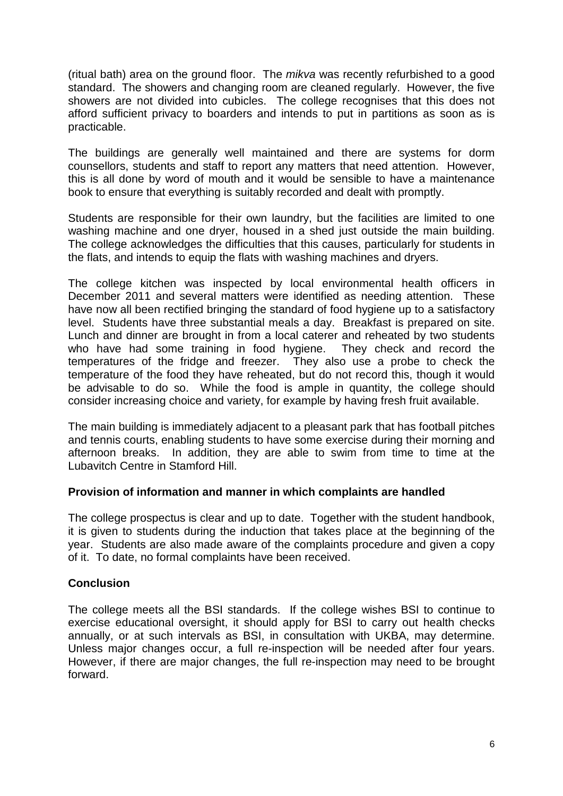(ritual bath) area on the ground floor. The *mikva* was recently refurbished to a good standard. The showers and changing room are cleaned regularly. However, the five showers are not divided into cubicles. The college recognises that this does not afford sufficient privacy to boarders and intends to put in partitions as soon as is practicable.

The buildings are generally well maintained and there are systems for dorm counsellors, students and staff to report any matters that need attention. However, this is all done by word of mouth and it would be sensible to have a maintenance book to ensure that everything is suitably recorded and dealt with promptly.

Students are responsible for their own laundry, but the facilities are limited to one washing machine and one dryer, housed in a shed just outside the main building. The college acknowledges the difficulties that this causes, particularly for students in the flats, and intends to equip the flats with washing machines and dryers.

The college kitchen was inspected by local environmental health officers in December 2011 and several matters were identified as needing attention. These have now all been rectified bringing the standard of food hygiene up to a satisfactory level. Students have three substantial meals a day. Breakfast is prepared on site. Lunch and dinner are brought in from a local caterer and reheated by two students who have had some training in food hygiene. They check and record the temperatures of the fridge and freezer. They also use a probe to check the temperature of the food they have reheated, but do not record this, though it would be advisable to do so. While the food is ample in quantity, the college should consider increasing choice and variety, for example by having fresh fruit available.

The main building is immediately adjacent to a pleasant park that has football pitches and tennis courts, enabling students to have some exercise during their morning and afternoon breaks. In addition, they are able to swim from time to time at the Lubavitch Centre in Stamford Hill.

## **Provision of information and manner in which complaints are handled**

The college prospectus is clear and up to date. Together with the student handbook, it is given to students during the induction that takes place at the beginning of the year. Students are also made aware of the complaints procedure and given a copy of it. To date, no formal complaints have been received.

## **Conclusion**

The college meets all the BSI standards. If the college wishes BSI to continue to exercise educational oversight, it should apply for BSI to carry out health checks annually, or at such intervals as BSI, in consultation with UKBA, may determine. Unless major changes occur, a full re-inspection will be needed after four years. However, if there are major changes, the full re-inspection may need to be brought forward.